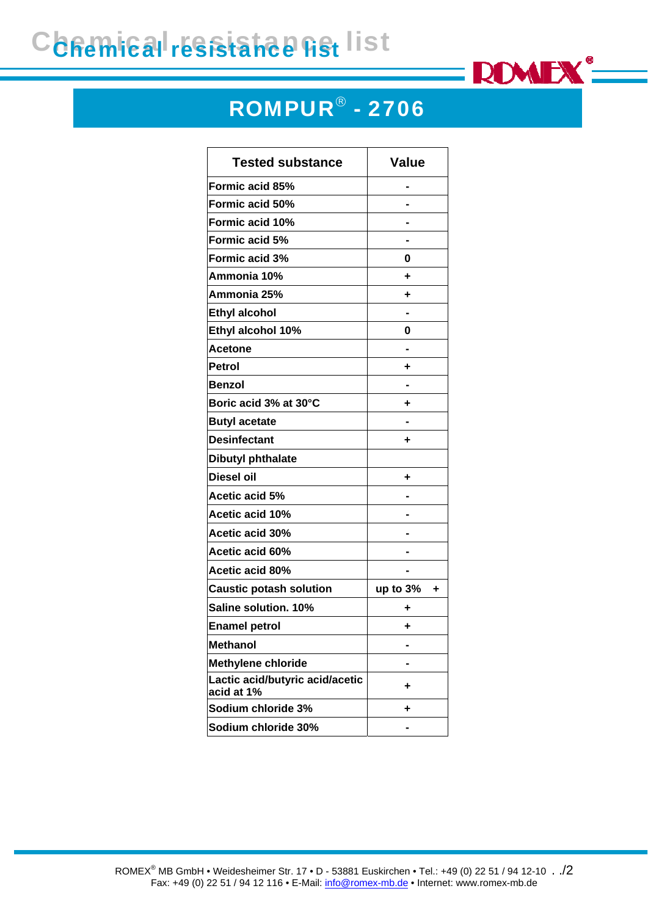## Chemical resistance list



## ROMPUR® - 2706

| <b>Tested substance</b>                       | <b>Value</b>  |
|-----------------------------------------------|---------------|
| Formic acid 85%                               |               |
| Formic acid 50%                               |               |
| Formic acid 10%                               |               |
| Formic acid 5%                                |               |
| Formic acid 3%                                | 0             |
| Ammonia 10%                                   | ٠             |
| Ammonia 25%                                   | ٠             |
| <b>Ethyl alcohol</b>                          |               |
| Ethyl alcohol 10%                             | 0             |
| <b>Acetone</b>                                |               |
| <b>Petrol</b>                                 | ٠             |
| <b>Benzol</b>                                 |               |
| Boric acid 3% at 30°C                         | ٠             |
| <b>Butyl acetate</b>                          |               |
| <b>Desinfectant</b>                           | ٠             |
| <b>Dibutyl phthalate</b>                      |               |
| <b>Diesel oil</b>                             | ٠             |
| Acetic acid 5%                                |               |
| Acetic acid 10%                               |               |
| <b>Acetic acid 30%</b>                        |               |
| Acetic acid 60%                               |               |
| Acetic acid 80%                               |               |
| <b>Caustic potash solution</b>                | up to 3%<br>٠ |
| Saline solution. 10%                          | ٠             |
| <b>Enamel petrol</b>                          | ٠             |
| <b>Methanol</b>                               |               |
| <b>Methylene chloride</b>                     |               |
| Lactic acid/butyric acid/acetic<br>acid at 1% | ٠             |
| Sodium chloride 3%                            | ٠             |
| Sodium chloride 30%                           |               |